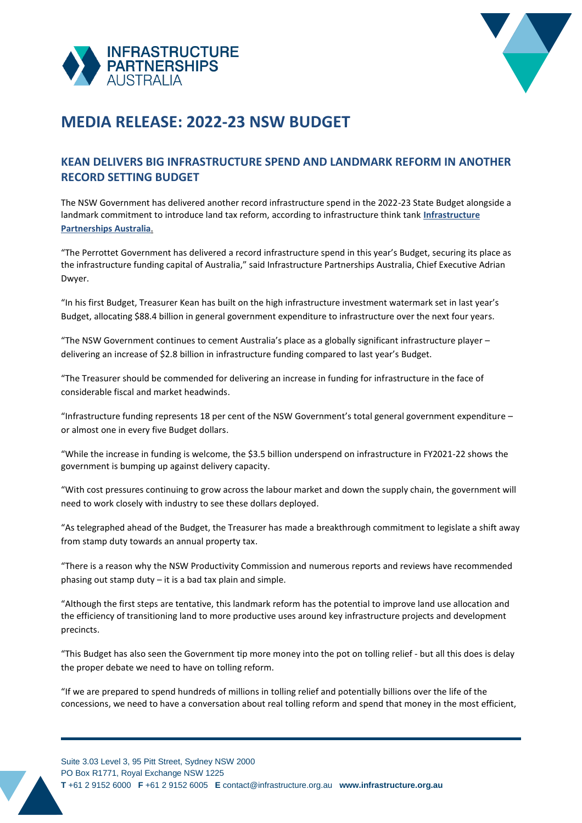



## **MEDIA RELEASE: 2022-23 NSW BUDGET**

## **KEAN DELIVERS BIG INFRASTRUCTURE SPEND AND LANDMARK REFORM IN ANOTHER RECORD SETTING BUDGET**

The NSW Government has delivered another record infrastructure spend in the 2022-23 State Budget alongside a landmark commitment to introduce land tax reform, according to infrastructure think tank **[Infrastructure](http://infrastructure.org.au/)  [Partnerships Australia](http://infrastructure.org.au/)**.

"The Perrottet Government has delivered a record infrastructure spend in this year's Budget, securing its place as the infrastructure funding capital of Australia," said Infrastructure Partnerships Australia, Chief Executive Adrian Dwyer.

"In his first Budget, Treasurer Kean has built on the high infrastructure investment watermark set in last year's Budget, allocating \$88.4 billion in general government expenditure to infrastructure over the next four years.

"The NSW Government continues to cement Australia's place as a globally significant infrastructure player – delivering an increase of \$2.8 billion in infrastructure funding compared to last year's Budget.

"The Treasurer should be commended for delivering an increase in funding for infrastructure in the face of considerable fiscal and market headwinds.

"Infrastructure funding represents 18 per cent of the NSW Government's total general government expenditure – or almost one in every five Budget dollars.

"While the increase in funding is welcome, the \$3.5 billion underspend on infrastructure in FY2021-22 shows the government is bumping up against delivery capacity.

"With cost pressures continuing to grow across the labour market and down the supply chain, the government will need to work closely with industry to see these dollars deployed.

"As telegraphed ahead of the Budget, the Treasurer has made a breakthrough commitment to legislate a shift away from stamp duty towards an annual property tax.

"There is a reason why the NSW Productivity Commission and numerous reports and reviews have recommended phasing out stamp duty – it is a bad tax plain and simple.

"Although the first steps are tentative, this landmark reform has the potential to improve land use allocation and the efficiency of transitioning land to more productive uses around key infrastructure projects and development precincts.

"This Budget has also seen the Government tip more money into the pot on tolling relief - but all this does is delay the proper debate we need to have on tolling reform.

"If we are prepared to spend hundreds of millions in tolling relief and potentially billions over the life of the concessions, we need to have a conversation about real tolling reform and spend that money in the most efficient,